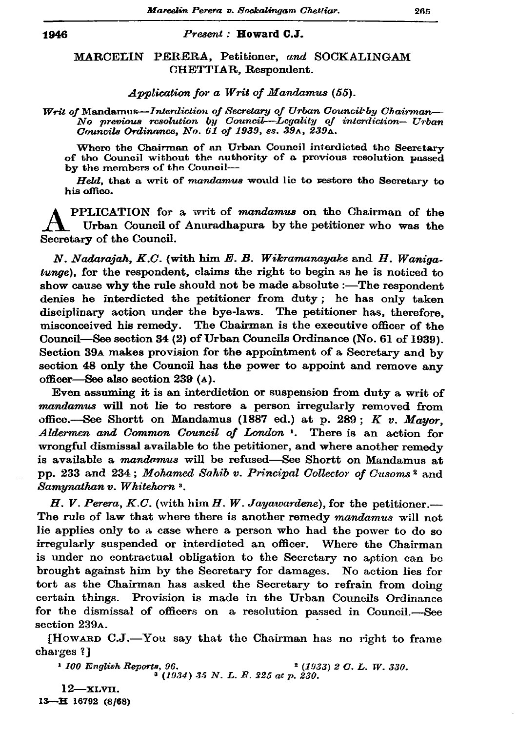## 1946

## Present: Howard C.J.

## MARCELIN PERERA, Petitioner, and SOCKALINGAM CHETTIAR, Respondent.

## Application for a Writ of Mandamus (55).

Writ of Mandamus—Interdiction of Secretary of Urban Councit by Chairman— No previous resolution by Council-Legality of interdiction- Urban Councils Ordinance, No. 61 of 1939, ss. 39A, 239A.

Where the Chairman of an Urban Council interdicted the Secretary of the Council without the authority of a previous resolution passed by the members of the Council-

Held, that a writ of mandamus would lie to restore the Secretary to his office.

PPLICATION for a writ of mandamus on the Chairman of the Urban Council of Anuradhapura by the petitioner who was the Secretary of the Council.

N. Nadarajah, K.C. (with him E. B. Wikramanayake and H. Wanigatunge), for the respondent, claims the right to begin as he is noticed to show cause why the rule should not be made absolute :- The respondent denies he interdicted the petitioner from duty; he has only taken disciplinary action under the bye-laws. The petitioner has, therefore, misconceived his remedy. The Chairman is the executive officer of the Council—See section 34 (2) of Urban Councils Ordinance (No. 61 of 1939). Section 39A makes provision for the appointment of a Secretary and by section 48 only the Council has the power to appoint and remove any officer-See also section 239 (A).

Even assuming it is an interdiction or suspension from duty a writ of mandamus will not lie to restore a person irregularly removed from office.—See Shortt on Mandamus (1887 ed.) at p. 289; K v. Mayor. Aldermen and Common Council of London<sup>1</sup>. There is an action for wrongful dismissal available to the petitioner, and where another remedy is available a mandamus will be refused—See Shortt on Mandamus at pp. 233 and 234; Mohamed Sahib v. Principal Collector of Cusoms<sup>2</sup> and Samynathan v. Whitehorn 3.

 $H. V. Perera, K.C.$  (with him  $H. W. Jayawarden$ e), for the petitioner.— The rule of law that where there is another remedy mandamus will not lie applies only to a case where a person who had the power to do so irregularly suspended or interdicted an officer. Where the Chairman is under no contractual obligation to the Secretary no action can be brought against him by the Secretary for damages. No action lies for tort as the Chairman has asked the Secretary to refrain from doing certain things. Provision is made in the Urban Councils Ordinance for the dismissal of officers on a resolution passed in Council.-See section 239A.

[HOWARD C.J.-You say that the Chairman has no right to frame charges ?]

<sup>1</sup> 100 English Reports, 96.  $2(1933) 2C. L. W. 330.$  $(1934)$  35 N. L. R. 225 at p. 230.

 $12 - xLv$ II. 13-H 16792 (8/68)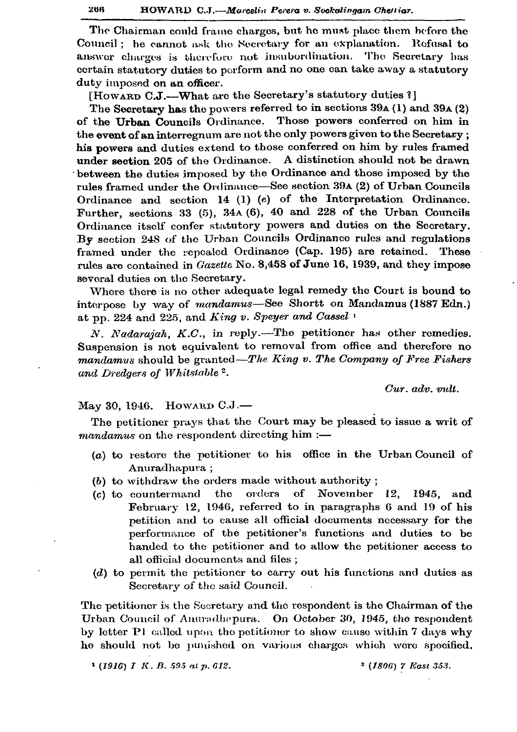The Chairman could frame charges, but he must place them before the Council; he cannot ask the Secretary for an explanation. Refusal to answer charges is therefore not insubordination. The Secretary has certain statutory duties to perform and no one can take away a statutory duty imposed on an officer.

[HOWARD C.J.--What are the Secretary's statutory duties ?]

The Secretary has the powers referred to in sections 39A (1) and 39A (2) Those powers conferred on him in of the Urban Councils Ordinance. the event of an interregnum are not the only powers given to the Secretary: his powers and duties extend to those conferred on him by rules framed under section 205 of the Ordinance. A distinction should not be drawn between the duties imposed by the Ordinance and those imposed by the rules framed under the Ordinance—See section 39A (2) of Urban Councils Ordinance and section 14 (1) (e) of the Interpretation Ordinance. Further, sections 33  $(5)$ , 34 $\land$   $(6)$ , 40 and 228 of the Urban Councils Ordinance itself confer statutory powers and duties on the Secretary. By section 248 of the Urban Councils Ordinance rules and regulations framed under the repealed Ordinance (Cap. 195) are retained. These rules are contained in Gazette No. 8,458 of June 16, 1939, and they impose several duties on the Secretary.

Where there is no other adequate legal remedy the Court is bound to interpose by way of mandamus—See Shortt on Mandamus (1887 Edn.) at pp. 224 and 225, and King v. Speyer and Cassel 1

N. Nadarajah,  $K.C.,$  in reply.—The petitioner has other remedies. Suspension is not equivalent to removal from office and therefore no mandamus should be granted—The King v. The Company of Free Fishers and Dredgers of Whitstable<sup>2</sup>.

Cur. adv. vult.

May 30, 1946. HOWARD C.J.-

The petitioner prays that the Court may be pleased to issue a writ of mandamus on the respondent directing him :-

- $(a)$  to restore the petitioner to his office in the Urban Council of Anuradhapura:
- $(b)$  to withdraw the orders made without authority;
- (c) to countermand the orders of November 12, 1945, and February 12, 1946, referred to in paragraphs 6 and 19 of his petition and to cause all official documents necessary for the performance of the petitioner's functions and duties to be handed to the petitioner and to allow the petitioner access to all official documents and files;
- $(d)$  to permit the petitioner to carry out his functions and duties as Secretary of the said Council.

The petitioner is the Secretary and the respondent is the Chairman of the Urban Council of Anuradhapura. On October 30, 1945, the respondent by letter P1 called upon the petitioner to show cause within 7 days why he should not be punished on various charges which were specified.

 $(1916)$  I K. B. 595 at p. 612.

 $2(1806)$  7 East 353.

266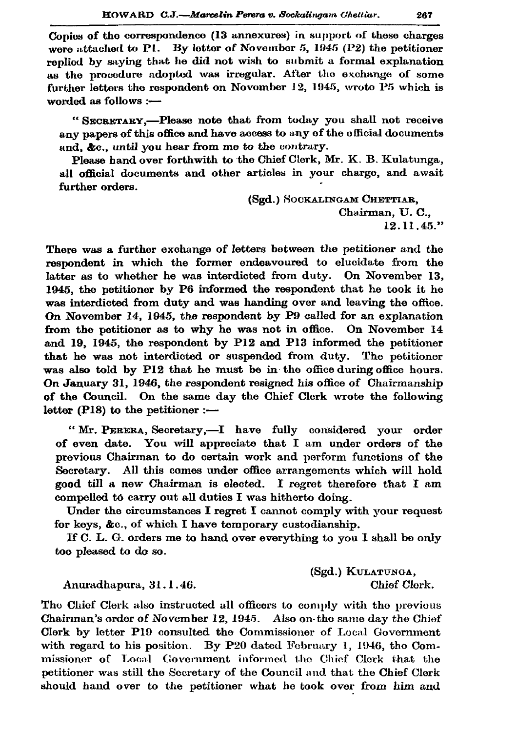Conjes of the correspondence (13 annexures) in support of these charges were attached to P1. By letter of November 5, 1945 (P2) the petitioner replied by saying that he did not wish to submit a formal explanation as the procedure adopted was irregular. After the exchange of some further letters the respondent on November 12, 1945, wrote P5 which is worded as follows  $:$   $-$ 

"SECRETARY.-Please note that from today you shall not receive any papers of this office and have access to any of the official documents and. &c., until you hear from me to the contrary.

Please hand over forthwith to the Chief Clerk, Mr. K. B. Kulatunga. all official documents and other articles in your charge, and await further orders.

> (Sgd.) SOCKALINGAM CHETTIAR, Chairman. U.C.. 12.11.45."

There was a further exchange of letters between the petitioner and the respondent in which the former endeavoured to elucidate from the latter as to whether he was interdicted from duty. On November 13. 1945, the petitioner by P6 informed the respondent that he took it he was interdicted from duty and was handing over and leaving the office. On November 14, 1945, the respondent by P9 called for an explanation from the petitioner as to why he was not in office. On November 14 and 19, 1945, the respondent by P12 and P13 informed the petitioner that he was not interdicted or suspended from duty. The petitioner was also told by P12 that he must be in the office during office hours. On January 31, 1946, the respondent resigned his office of Chairmanship of the Council. On the same day the Chief Clerk wrote the following letter  $(PI8)$  to the petitioner :-

"Mr. PERERA, Secretary,-I have fully considered your order of even date. You will appreciate that I am under orders of the previous Chairman to do certain work and perform functions of the Secretary. All this comes under office arrangements which will hold good till a new Chairman is elected. I regret therefore that I am compelled to carry out all duties I was hitherto doing.

Under the circumstances I regret I cannot comply with your request for keys, &c., of which I have temporary custodianship.

If C. L. G. orders me to hand over everything to you I shall be only too pleased to do so.

> (Sgd.) KULATUNGA, Chief Clerk.

Anuradhapura, 31.1.46.

The Chief Clerk also instructed all officers to comply with the previous Chairman's order of November 12, 1945. Also on the same day the Chief Clerk by letter P19 consulted the Commissioner of Local Government with regard to his position. By P20 dated February 1, 1946, the Commissioner of Local Government informed the Chief Clerk that the petitioner was still the Secretary of the Council and that the Chief Clerk should hand over to the petitioner what he took over from him and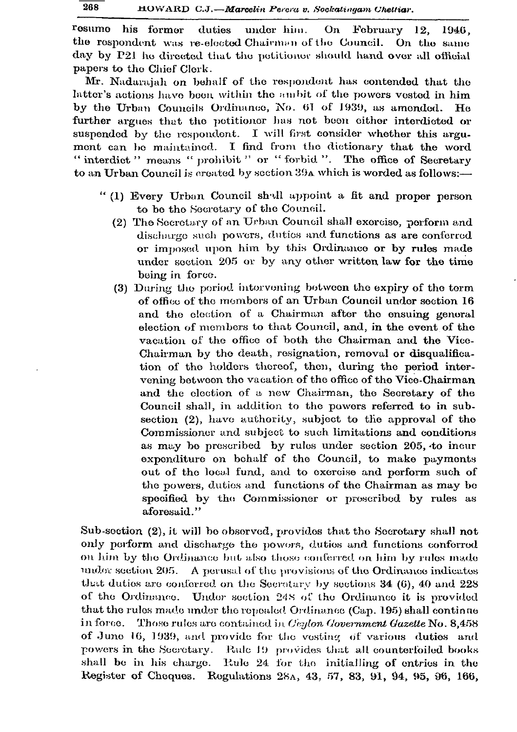resume his former duties under him. On February 12. 1946. the respondent was re-elected Chairman of the Council. On the same day by P21 he directed that the petitioner should hand over all official papers to the Chief Clerk.

Mr. Nadarajah on behalf of the respondent has contended that the latter's actions have been within the ambit of the powers vested in him by the Urban Councils Ordinance, No. 61 of 1939, as amended.  $He$ further argues that the petitioner has not been either interdicted or suspended by the respondent. I will first consider whether this argument can be maintained. I find from the dictionary that the word "interdict" means "prohibit" or "forbid". The office of Secretary to an Urban Council is created by section 39A which is worded as follows:-

- "(1) Every Urban Council shall appoint a fit and proper person to be the Secretary of the Council.
	- (2) The Secretary of an Urban Council shall exercise, perform and discharge such powers, duties and functions as are conferred or imposed upon him by this Ordinance or by rules made under section 205 or by any other written law for the time being in force.
	- (3) During the period intervening between the expiry of the term of office of the members of an Urban Council under section 16 and the election of a Chairman after the ensuing general election of members to that Council, and, in the event of the vacation of the office of both the Chairman and the Vice-Chairman by the death, resignation, removal or disqualification of the holders thereof, then, during the period intervening between the vacation of the office of the Vice-Chairman and the election of a new Chairman, the Secretary of the Council shall, in addition to the powers referred to in subsection (2), have authority, subject to the approval of the Commissioner and subject to such limitations and conditions as may be prescribed by rules under section 205, to incur expenditure on behalf of the Council, to make payments out of the local fund, and to exercise and perform such of the powers, duties and functions of the Chairman as may be specified by the Commissioner or prescribed by rules as aforesaid."

Sub-section (2), it will be observed, provides that the Secretary shall not only perform and discharge the powers, duties and functions conferred on him by the Ordinance but also those conferred on him by rules made under section 205. A perusal of the provisions of the Ordinance indicates that duties are conferred on the Secretary by sections 34 (6), 40 and 228 of the Ordinance. Under section 248 of the Ordinance it is provided that the rules made under the repoaled Ordinance (Cap. 195) shall continue in force. Those rules are contained in Ceylon Government Gazette No. 8,458 of June 16, 1939, and provide for the vesting of various duties and powers in the Secretary. Rule 19 provides that all counterfoiled books shall be in his charge. Rule 24 for the initialling of entries in the Register of Cheques. Regulations 28A, 43, 57, 83, 91, 94, 95, 96, 166,

268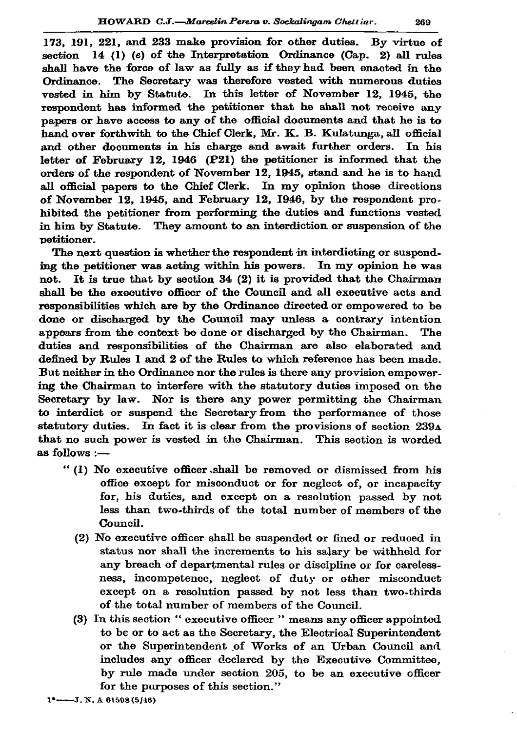173. 191. 221. and 233 make provision for other duties. By virtue of section 14 (1) (e) of the Interpretation Ordinance (Cap. 2) all rules shall have the force of law as fully as if they had been enacted in the Ordinance. The Secretary was therefore vested with numerous duties vested in him by Statute. In this letter of November 12, 1945, the respondent has informed the petitioner that he shall not receive any papers or have access to any of the official documents and that he is to hand over forthwith to the Chief Clerk, Mr. K. B. Kulatunga, all official and other documents in his charge and await further orders. In his letter of February 12, 1946  $(P21)$  the petitioner is informed that the orders of the respondent of November 12, 1945, stand and he is to hand all official papers to the Chief Clerk. In my opinion those directions of November 12, 1945, and February 12, 1946, by the respondent prohibited the petitioner from performing the duties and functions vested in him by Statute. They amount to an interdiction or suspension of the petitioner.

The next question is whether the respondent in interdicting or suspending the petitioner was acting within his powers. In my opinion he was not. It is true that by section 34 (2) it is provided that the Chairman shall be the executive officer of the Council and all executive acts and responsibilities which are by the Ordinance directed or empowered to be done or discharged by the Council may unless a contrary intention appears from the context be done or discharged by the Chairman. The duties and responsibilities of the Chairman are also elaborated and defined by Rules 1 and 2 of the Rules to which reference has been made. But neither in the Ordinance nor the rules is there any provision empowering the Chairman to interfere with the statutory duties imposed on the Secretary by law. Nor is there any power permitting the Chairman to interdict or suspend the Secretary from the performance of those statutory duties. In fact it is clear from the provisions of section 239A that no such power is vested in the Chairman. This section is worded as follows :-

- "(1) No executive officer shall be removed or dismissed from his office except for misconduct or for neglect of, or incapacity for, his duties, and except on a resolution passed by not less than two-thirds of the total number of members of the Conneil.
	- (2) No executive officer shall be suspended or fined or reduced in status nor shall the increments to his salary be withheld for any breach of departmental rules or discipline or for carelessness, incompetence, neglect of duty or other misconduct except on a resolution passed by not less than two-thirds of the total number of members of the Council.
	- (3) In this section "executive officer " means any officer appointed to be or to act as the Secretary, the Electrical Superintendent or the Superintendent of Works of an Urban Council and includes any officer declared by the Executive Committee, by rule made under section 205, to be an executive officer for the purposes of this section."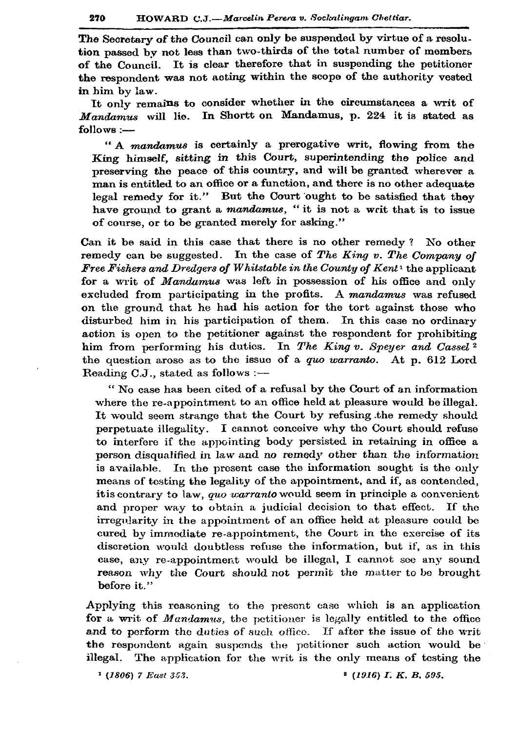The Secretary of the Council can only be suspended by virtue of a resolution passed by not less than two-thirds of the total number of members of the Council. It is clear therefore that in suspending the petitioner the respondent was not acting within the scope of the authority vested in him by law.

It only remains to consider whether in the circumstances a writ of Mandamus will lie. In Shortt on Mandamus, p. 224 it is stated as follows :-

"A mandamus is certainly a prerogative writ, flowing from the King himself, sitting in this Court, superintending the police and preserving the peace of this country, and will be granted wherever a man is entitled to an office or a function, and there is no other adequate legal remedy for it." But the Court ought to be satisfied that they have ground to grant a mandamus, "it is not a writ that is to issue of course, or to be granted merely for asking."

Can it be said in this case that there is no other remedy? No other remedy can be suggested. In the case of The King  $v$ . The Company of **Free Fishers and Dredgers of Whitstable in the County of Kent**  $\iota$  **the applicant** for a writ of Mandamus was left in possession of his office and only excluded from participating in the profits. A mandamus was refused on the ground that he had his action for the tort against those who disturbed him in his participation of them. In this case no ordinary action is open to the petitioner against the respondent for prohibiting him from performing his duties. In The King v. Speyer and Cassel<sup>2</sup> the question arose as to the issue of a quo warranto. At p. 612 Lord Reading  $C.J.$ , stated as follows :-

"No case has been cited of a refusal by the Court of an information where the re-appointment to an office held at pleasure would be illegal. It would seem strange that the Court by refusing the remedy should perpetuate illegality. I cannot conceive why the Court should refuse to interfere if the appointing body persisted in retaining in office a person disqualified in law and no remedy other than the information is available. In the present case the information sought is the only means of testing the legality of the appointment, and if, as contended, it is contrary to law, quo warranto would seem in principle a convenient and proper way to obtain a judicial decision to that effect. If the irregularity in the appointment of an office held at pleasure could be cured by immediate re-appointment, the Court in the exercise of its discretion would doubtless refuse the information, but if, as in this case, any re-appointment would be illegal, I cannot see any sound reason why the Court should not permit the matter to be brought before it."

Applying this reasoning to the present case which is an application for a writ of *Mandamus*, the petitioner is legally entitled to the office and to perform the duties of such office. If after the issue of the writ the respondent again suspends the petitioner such action would be illegal. The application for the writ is the only means of testing the

<sup>1</sup> (1806) 7 East 353.

 $*(1916)$  I. K. B. 595.